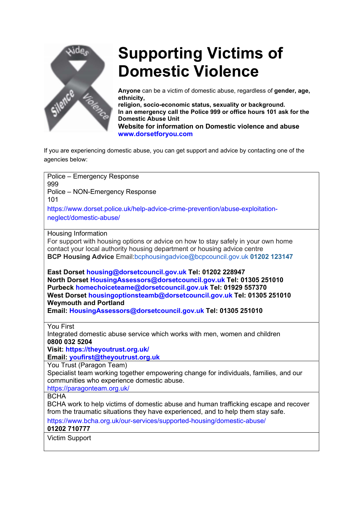

# Supporting Victims of Domestic Violence

Anyone can be a victim of domestic abuse, regardless of gender, age, ethnicity,

religion, socio-economic status, sexuality or background. In an emergency call the Police 999 or office hours 101 ask for the Domestic Abuse Unit Website for information on Domestic violence and abuse www.dorsetforyou.com

If you are experiencing domestic abuse, you can get support and advice by contacting one of the agencies below:

Police – Emergency Response 999 Police – NON-Emergency Response 101 https://www.dorset.police.uk/help-advice-crime-prevention/abuse-exploitationneglect/domestic-abuse/ Housing Information For support with housing options or advice on how to stay safely in your own home contact your local authority housing department or housing advice centre BCP Housing Advice Email:bcphousingadvice@bcpcouncil.gov.uk 01202 123147 East Dorset housing@dorsetcouncil.gov.uk Tel: 01202 228947 North Dorset HousingAssessors@dorsetcouncil.gov.uk Tel: 01305 251010 Purbeck homechoiceteame@dorsetcouncil.gov.uk Tel: 01929 557370 West Dorset housingoptionsteamb@dorsetcouncil.gov.uk Tel: 01305 251010 Weymouth and Portland Email: HousingAssessors@dorsetcouncil.gov.uk Tel: 01305 251010 You First Integrated domestic abuse service which works with men, women and children 0800 032 5204 Visit: https://theyoutrust.org.uk/ Email: youfirst@theyoutrust.org.uk You Trust (Paragon Team) Specialist team working together empowering change for individuals, families, and our communities who experience domestic abuse. https://paragonteam.org.uk/ **BCHA** BCHA work to help victims of domestic abuse and human trafficking escape and recover from the traumatic situations they have experienced, and to help them stay safe. https://www.bcha.org.uk/our-services/supported-housing/domestic-abuse/ 01202 710777 Victim Support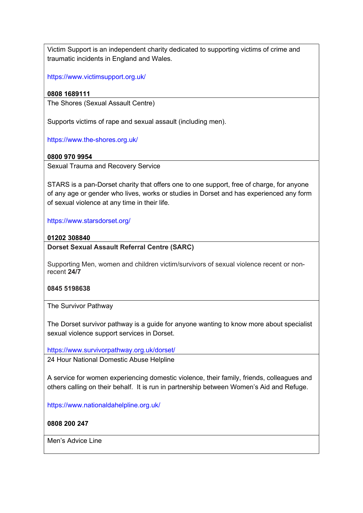Victim Support is an independent charity dedicated to supporting victims of crime and traumatic incidents in England and Wales.

https://www.victimsupport.org.uk/

# 0808 1689111

The Shores (Sexual Assault Centre)

Supports victims of rape and sexual assault (including men).

https://www.the-shores.org.uk/

# 0800 970 9954

Sexual Trauma and Recovery Service

STARS is a pan-Dorset charity that offers one to one support, free of charge, for anyone of any age or gender who lives, works or studies in Dorset and has experienced any form of sexual violence at any time in their life.

https://www.starsdorset.org/

#### 01202 308840

## Dorset Sexual Assault Referral Centre (SARC)

Supporting Men, women and children victim/survivors of sexual violence recent or nonrecent 24/7

#### 0845 5198638

The Survivor Pathway

The Dorset survivor pathway is a guide for anyone wanting to know more about specialist sexual violence support services in Dorset.

https://www.survivorpathway.org.uk/dorset/

24 Hour National Domestic Abuse Helpline

A service for women experiencing domestic violence, their family, friends, colleagues and others calling on their behalf. It is run in partnership between Women's Aid and Refuge.

https://www.nationaldahelpline.org.uk/

0808 200 247

Men's Advice Line